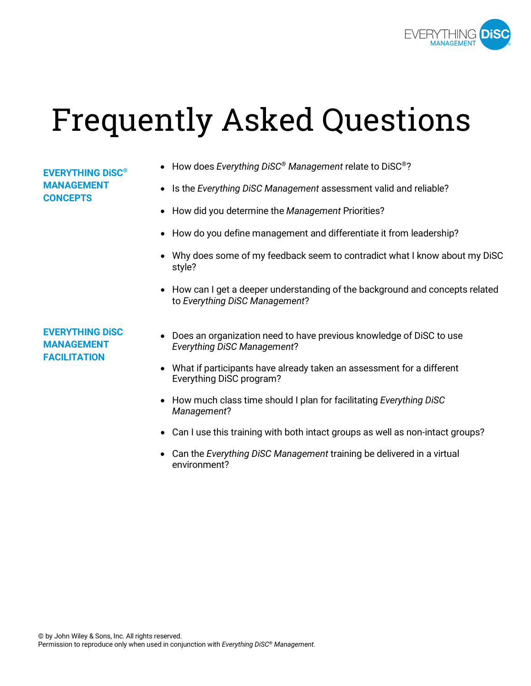

# Frequently Asked Questions

## **EVERYTHING DiSC® MANAGEMENT CONCEPTS**

- How does *Everything DiSC® Management* relate to DiSC®?
- Is the *Everything DiSC Management* assessment valid and reliable?
- How did you determine the *Management* Priorities?
- How do you define management and differentiate it from leadership?
- Why does some of my feedback seem to contradict what I know about my DiSC style?
- How can I get a deeper understanding of the background and concepts related to *Everything DiSC Management*?

**EVERYTHING DiSC MANAGEMENT FACILITATION**

- Does an organization need to have previous knowledge of DiSC to use *Everything DiSC Management*?
- What if participants have already taken an assessment for a different Everything DiSC program?
- How much class time should I plan for facilitating *Everything DiSC Management*?
- Can I use this training with both intact groups as well as non-intact groups?
- Can the *Everything DiSC Management* training be delivered in a virtual environment?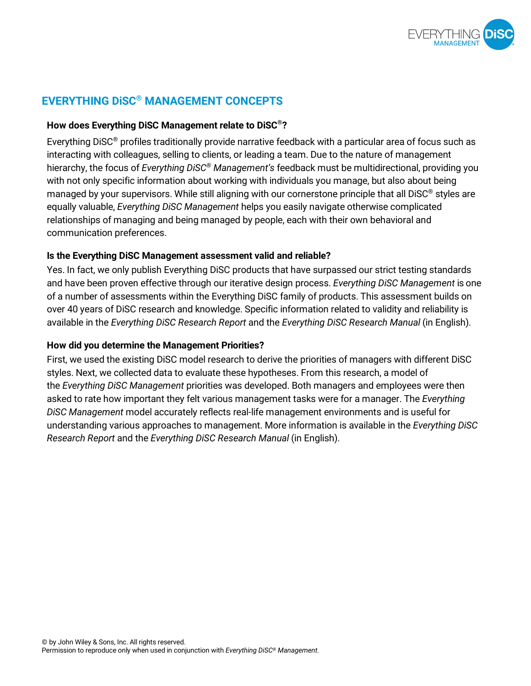

## **EVERYTHING DiSC® MANAGEMENT CONCEPTS**

#### **How does Everything DiSC Management relate to DiSC®?**

Everything DiSC® profiles traditionally provide narrative feedback with a particular area of focus such as interacting with colleagues, selling to clients, or leading a team. Due to the nature of management hierarchy, the focus of *Everything DiSC® Management's* feedback must be multidirectional, providing you with not only specific information about working with individuals you manage, but also about being managed by your supervisors. While still aligning with our cornerstone principle that all DiSC® styles are equally valuable, *Everything DiSC Management* helps you easily navigate otherwise complicated relationships of managing and being managed by people, each with their own behavioral and communication preferences.

## **Is the Everything DiSC Management assessment valid and reliable?**

Yes. In fact, we only publish Everything DiSC products that have surpassed our strict testing standards and have been proven effective through our iterative design process. *Everything DiSC Management* is one of a number of assessments within the Everything DiSC family of products. This assessment builds on over 40 years of DiSC research and knowledge. Specific information related to validity and reliability is available in the *Everything DiSC Research Report* and the *Everything DiSC Research Manual* (in English).

#### **How did you determine the Management Priorities?**

First, we used the existing DiSC model research to derive the priorities of managers with different DiSC styles. Next, we collected data to evaluate these hypotheses. From this research, a model of the *Everything DiSC Management* priorities was developed. Both managers and employees were then asked to rate how important they felt various management tasks were for a manager. The *Everything DiSC Management* model accurately reflects real-life management environments and is useful for understanding various approaches to management. More information is available in the *Everything DiSC Research Report* and the *Everything DiSC Research Manual* (in English).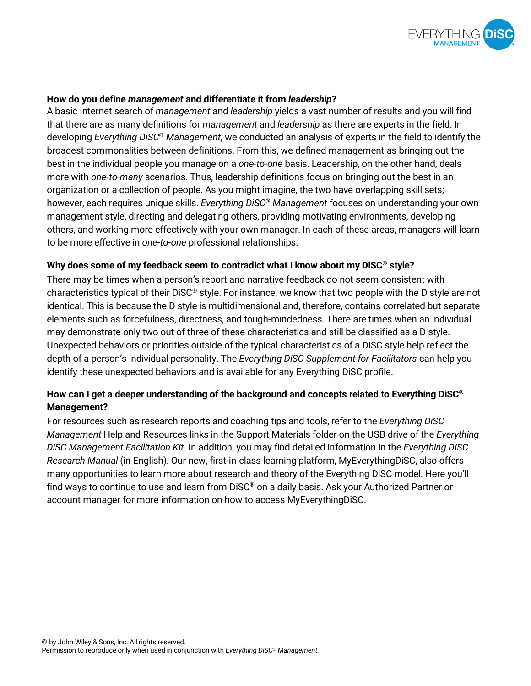

#### **How do you define** *management* **and differentiate it from** *leadership***?**

A basic Internet search of *management* and *leadership* yields a vast number of results and you will find that there are as many definitions for *management* and *leadership* as there are experts in the field. In developing *Everything DiSC® Management*, we conducted an analysis of experts in the field to identify the broadest commonalities between definitions. From this, we defined management as bringing out the best in the individual people you manage on a *one-to-one* basis. Leadership, on the other hand, deals more with *one-to-many* scenarios. Thus, leadership definitions focus on bringing out the best in an organization or a collection of people. As you might imagine, the two have overlapping skill sets; however, each requires unique skills. *Everything DiSC® Management* focuses on understanding your own management style, directing and delegating others, providing motivating environments, developing others, and working more effectively with your own manager. In each of these areas, managers will learn to be more effective in *one-to-one* professional relationships.

#### **Why does some of my feedback seem to contradict what I know about my DiSC® style?**

There may be times when a person's report and narrative feedback do not seem consistent with characteristics typical of their DiSC® style. For instance, we know that two people with the D style are not identical. This is because the D style is multidimensional and, therefore, contains correlated but separate elements such as forcefulness, directness, and tough-mindedness. There are times when an individual may demonstrate only two out of three of these characteristics and still be classified as a D style. Unexpected behaviors or priorities outside of the typical characteristics of a DiSC style help reflect the depth of a person's individual personality. The *Everything DiSC Supplement for Facilitators* can help you identify these unexpected behaviors and is available for any Everything DiSC profile.

## **How can I get a deeper understanding of the background and concepts related to Everything DiSC® Management?**

For resources such as research reports and coaching tips and tools, refer to the *Everything DiSC Management* Help and Resources links in the Support Materials folder on the USB drive of the *Everything DiSC Management Facilitation Kit*. In addition, you may find detailed information in the *Everything DiSC Research Manual* (in English). Our new, first-in-class learning platform, MyEverythingDiSC, also offers many opportunities to learn more about research and theory of the Everything DiSC model. Here you'll find ways to continue to use and learn from DiSC® on a daily basis. Ask your Authorized Partner or account manager for more information on how to access MyEverythingDiSC.